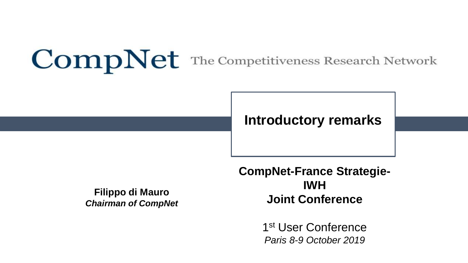## **CompNet** The Competitiveness Research Network

### **Introductory remarks**

**Filippo di Mauro** *Chairman of CompNet* **CompNet-France Strategie-IWH Joint Conference**

> 1st User Conference *Paris 8-9 October 2019*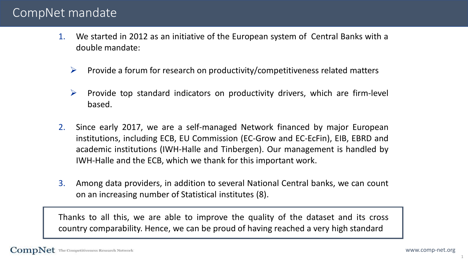#### CompNet mandate

- 1. We started in 2012 as an initiative of the European system of Central Banks with a double mandate:
	- $\triangleright$  Provide a forum for research on productivity/competitiveness related matters
	- $\triangleright$  Provide top standard indicators on productivity drivers, which are firm-level based.
- 2. Since early 2017, we are a self-managed Network financed by major European institutions, including ECB, EU Commission (EC-Grow and EC-EcFin), EIB, EBRD and academic institutions (IWH-Halle and Tinbergen). Our management is handled by IWH-Halle and the ECB, which we thank for this important work.
- 3. Among data providers, in addition to several National Central banks, we can count on an increasing number of Statistical institutes (8).

Thanks to all this, we are able to improve the quality of the dataset and its cross country comparability. Hence, we can be proud of having reached a very high standard

1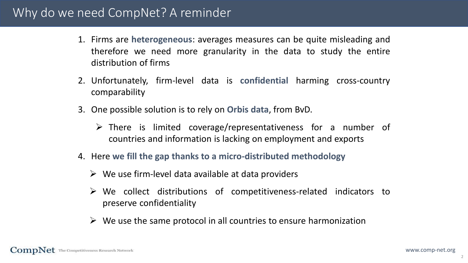#### Why do we need CompNet? A reminder

- 1. Firms are **heterogeneous**: averages measures can be quite misleading and therefore we need more granularity in the data to study the entire distribution of firms
- 2. Unfortunately, firm-level data is **confidential** harming cross-country comparability
- 3. One possible solution is to rely on **Orbis data**, from BvD.
	- There is limited coverage/representativeness for a number of countries and information is lacking on employment and exports
- 4. Here **we fill the gap thanks to a micro-distributed methodology**
	- $\triangleright$  We use firm-level data available at data providers
	- $\triangleright$  We collect distributions of competitiveness-related indicators to preserve confidentiality
	- $\triangleright$  We use the same protocol in all countries to ensure harmonization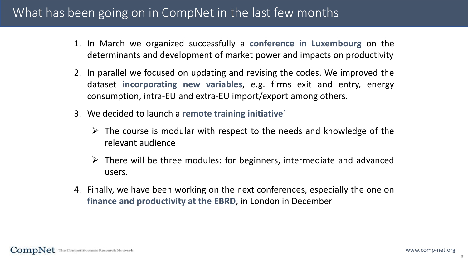#### What has been going on in CompNet in the last few months

- 1. In March we organized successfully a **conference in Luxembourg** on the determinants and development of market power and impacts on productivity
- 2. In parallel we focused on updating and revising the codes. We improved the dataset **incorporating new variables**, e.g. firms exit and entry, energy consumption, intra-EU and extra-EU import/export among others.
- 3. We decided to launch a **remote training initiative`**
	- $\triangleright$  The course is modular with respect to the needs and knowledge of the relevant audience
	- $\triangleright$  There will be three modules: for beginners, intermediate and advanced users.
- 4. Finally, we have been working on the next conferences, especially the one on **finance and productivity at the EBRD**, in London in December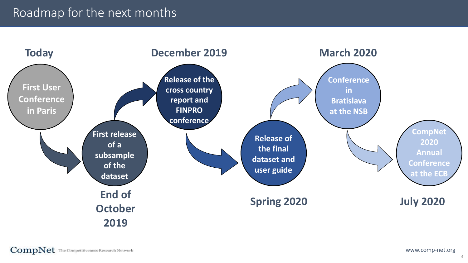### Roadmap for the next months



 $\textbf{CompNet}$  The Competitiveness Research Network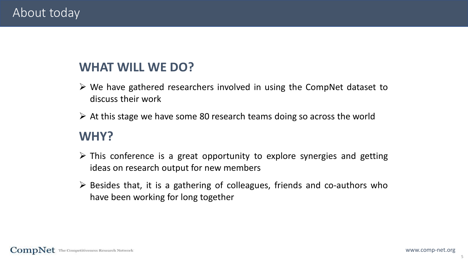#### About today

### **WHAT WILL WE DO?**

- $\triangleright$  We have gathered researchers involved in using the CompNet dataset to discuss their work
- $\triangleright$  At this stage we have some 80 research teams doing so across the world

#### **WHY?**

- $\triangleright$  This conference is a great opportunity to explore synergies and getting ideas on research output for new members
- $\triangleright$  Besides that, it is a gathering of colleagues, friends and co-authors who have been working for long together